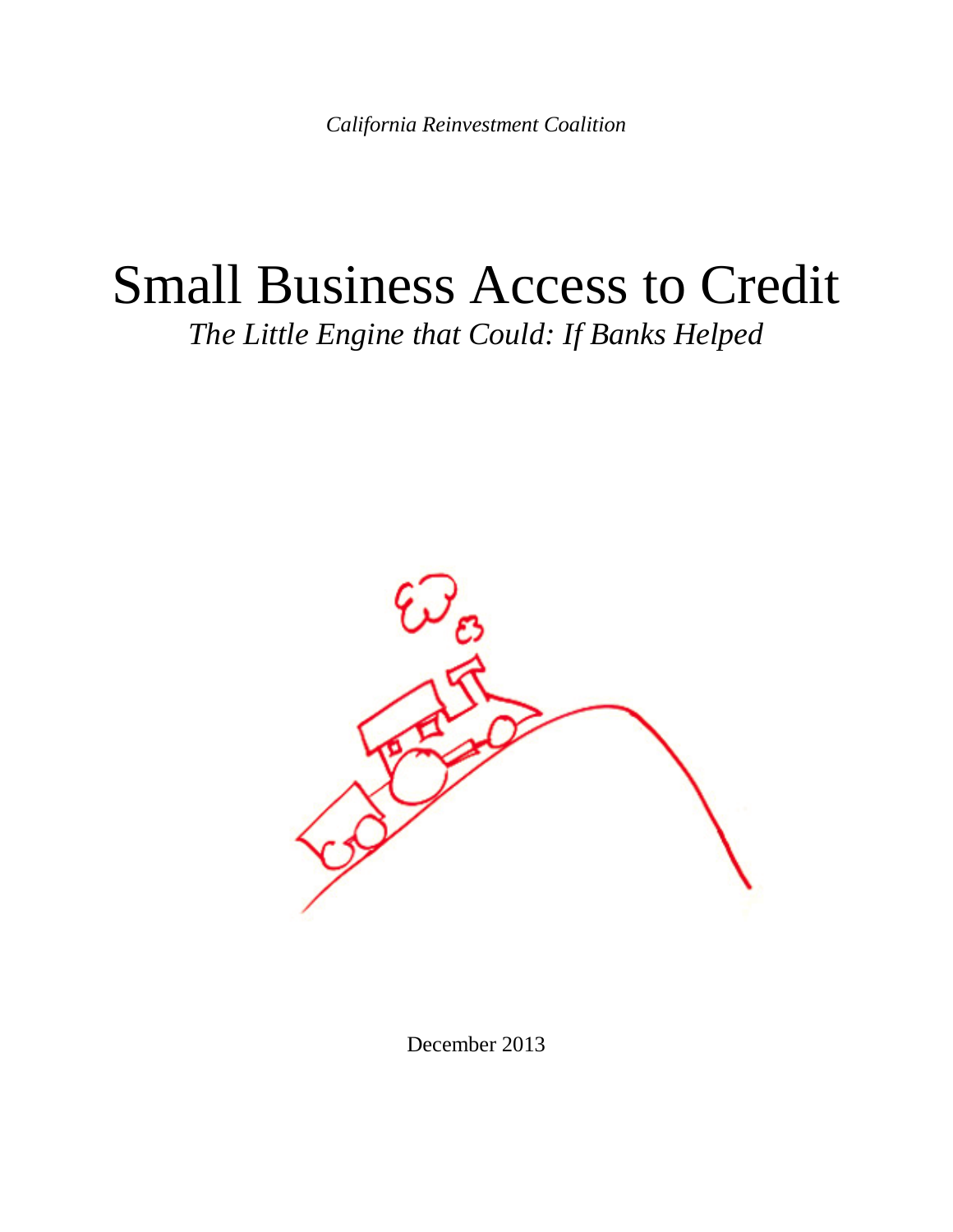*California Reinvestment Coalition*

# Small Business Access to Credit *The Little Engine that Could: If Banks Helped*



December 2013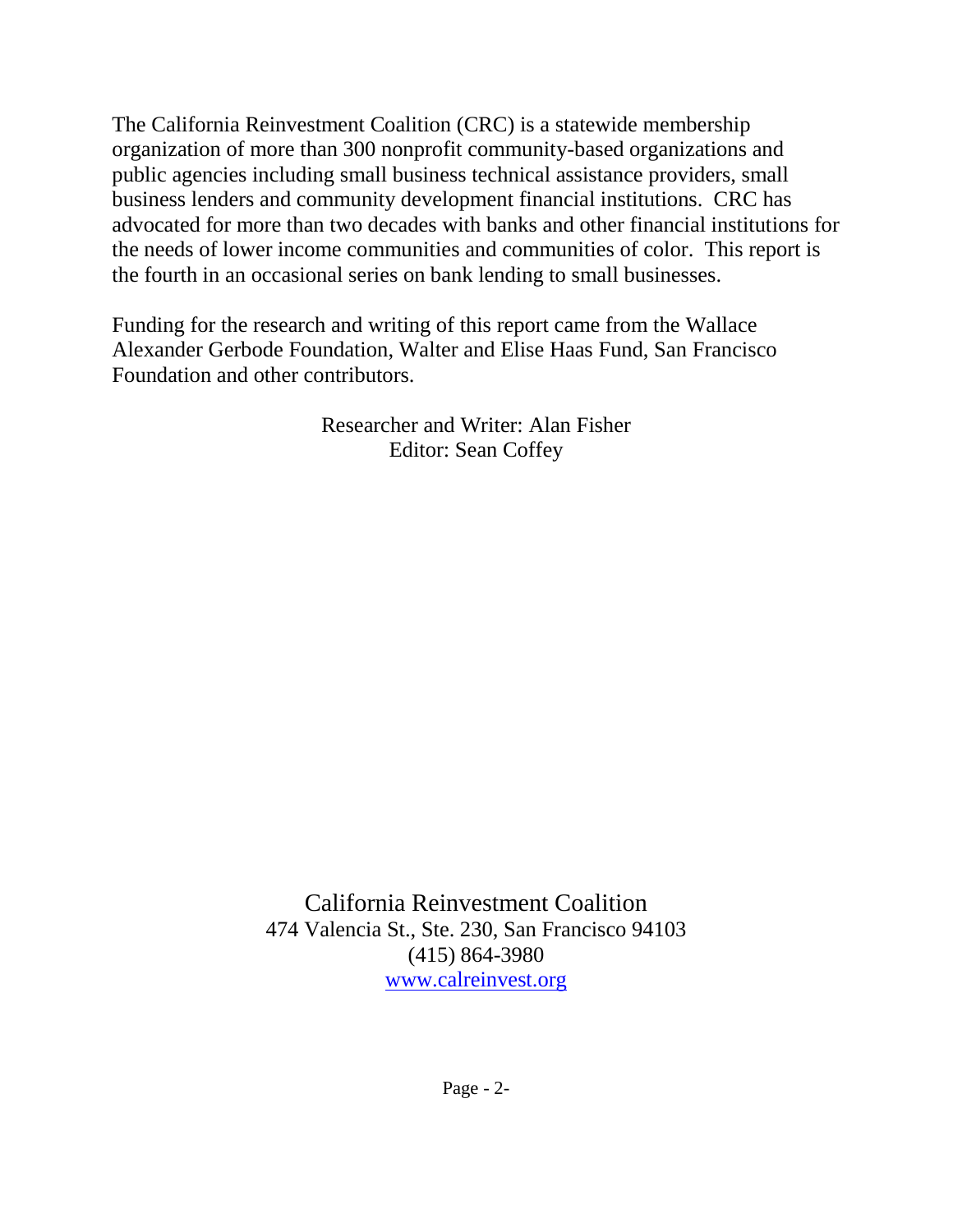The California Reinvestment Coalition (CRC) is a statewide membership organization of more than 300 nonprofit community-based organizations and public agencies including small business technical assistance providers, small business lenders and community development financial institutions. CRC has advocated for more than two decades with banks and other financial institutions for the needs of lower income communities and communities of color. This report is the fourth in an occasional series on bank lending to small businesses.

Funding for the research and writing of this report came from the Wallace Alexander Gerbode Foundation, Walter and Elise Haas Fund, San Francisco Foundation and other contributors.

> Researcher and Writer: Alan Fisher Editor: Sean Coffey

California Reinvestment Coalition 474 Valencia St., Ste. 230, San Francisco 94103 (415) 864-3980 [www.calreinvest.org](http://www.calreinvest.org/)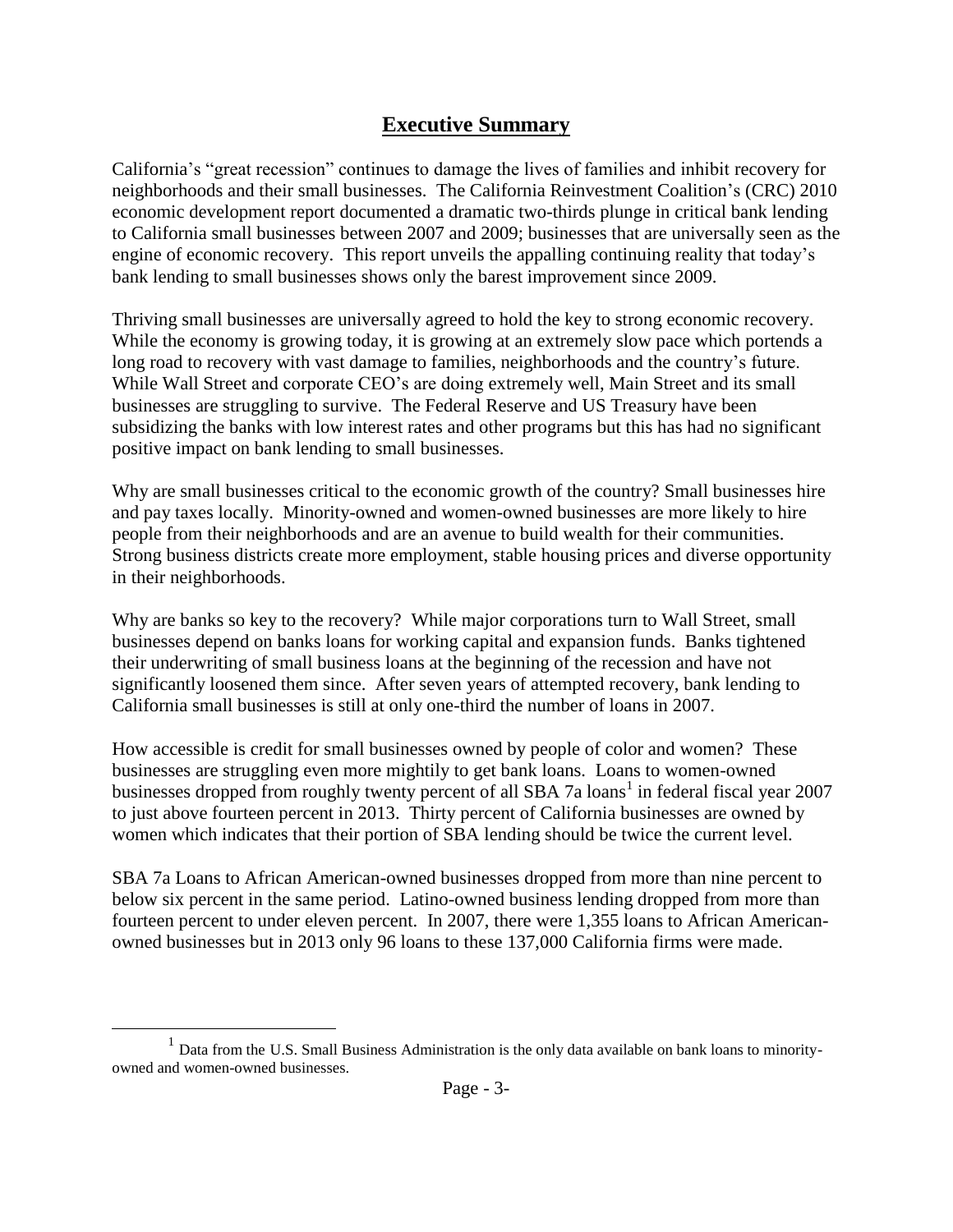### **Executive Summary**

California's "great recession" continues to damage the lives of families and inhibit recovery for neighborhoods and their small businesses. The California Reinvestment Coalition's (CRC) 2010 economic development report documented a dramatic two-thirds plunge in critical bank lending to California small businesses between 2007 and 2009; businesses that are universally seen as the engine of economic recovery. This report unveils the appalling continuing reality that today's bank lending to small businesses shows only the barest improvement since 2009.

Thriving small businesses are universally agreed to hold the key to strong economic recovery. While the economy is growing today, it is growing at an extremely slow pace which portends a long road to recovery with vast damage to families, neighborhoods and the country's future. While Wall Street and corporate CEO's are doing extremely well, Main Street and its small businesses are struggling to survive. The Federal Reserve and US Treasury have been subsidizing the banks with low interest rates and other programs but this has had no significant positive impact on bank lending to small businesses.

Why are small businesses critical to the economic growth of the country? Small businesses hire and pay taxes locally. Minority-owned and women-owned businesses are more likely to hire people from their neighborhoods and are an avenue to build wealth for their communities. Strong business districts create more employment, stable housing prices and diverse opportunity in their neighborhoods.

Why are banks so key to the recovery? While major corporations turn to Wall Street, small businesses depend on banks loans for working capital and expansion funds. Banks tightened their underwriting of small business loans at the beginning of the recession and have not significantly loosened them since. After seven years of attempted recovery, bank lending to California small businesses is still at only one-third the number of loans in 2007.

How accessible is credit for small businesses owned by people of color and women? These businesses are struggling even more mightily to get bank loans. Loans to women-owned businesses dropped from roughly twenty percent of all SBA 7a loans<sup>1</sup> in federal fiscal year 2007 to just above fourteen percent in 2013. Thirty percent of California businesses are owned by women which indicates that their portion of SBA lending should be twice the current level.

SBA 7a Loans to African American-owned businesses dropped from more than nine percent to below six percent in the same period. Latino-owned business lending dropped from more than fourteen percent to under eleven percent. In 2007, there were 1,355 loans to African Americanowned businesses but in 2013 only 96 loans to these 137,000 California firms were made.

<sup>&</sup>lt;sup>1</sup> Data from the U.S. Small Business Administration is the only data available on bank loans to minorityowned and women-owned businesses.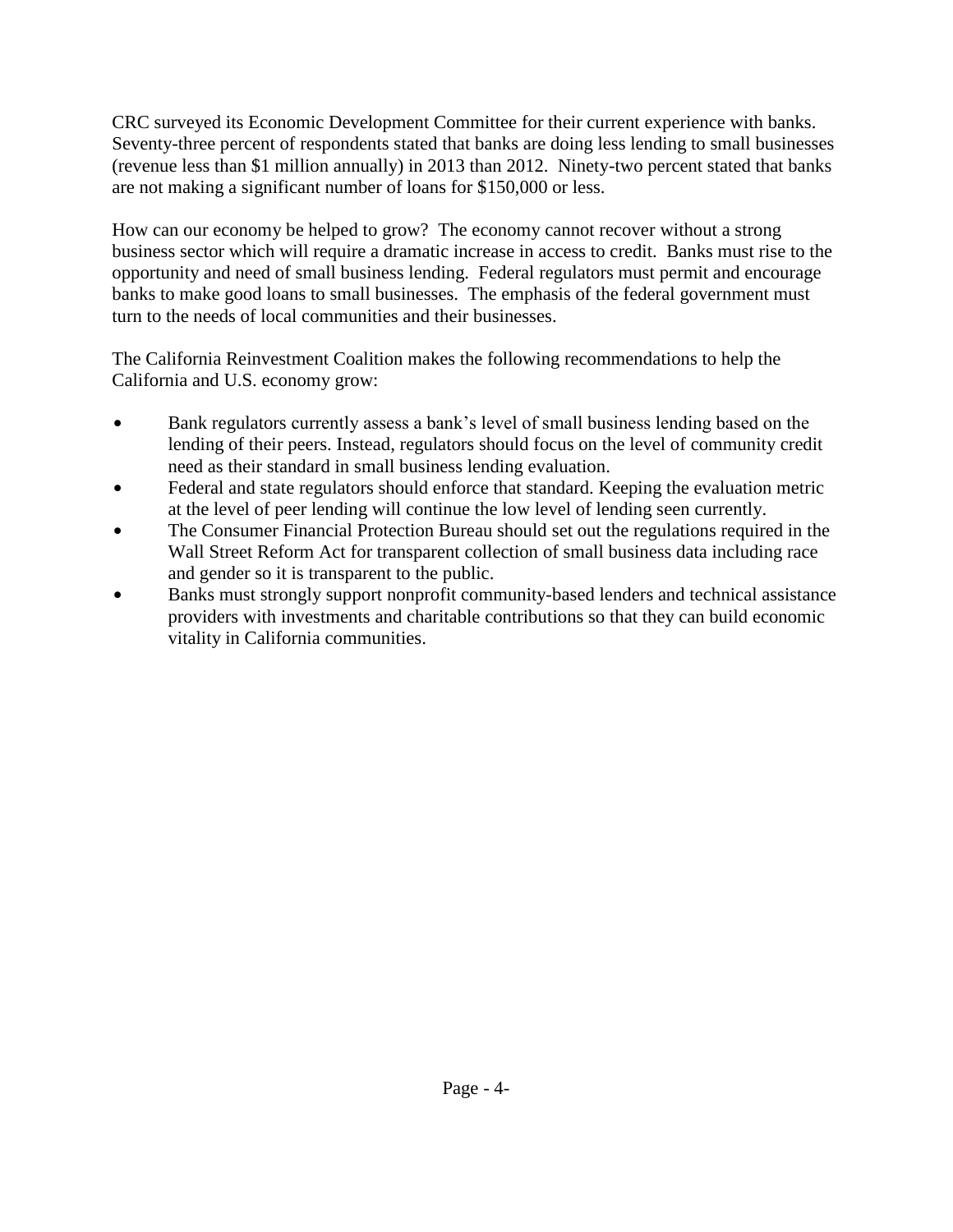CRC surveyed its Economic Development Committee for their current experience with banks. Seventy-three percent of respondents stated that banks are doing less lending to small businesses (revenue less than \$1 million annually) in 2013 than 2012. Ninety-two percent stated that banks are not making a significant number of loans for \$150,000 or less.

How can our economy be helped to grow? The economy cannot recover without a strong business sector which will require a dramatic increase in access to credit. Banks must rise to the opportunity and need of small business lending. Federal regulators must permit and encourage banks to make good loans to small businesses. The emphasis of the federal government must turn to the needs of local communities and their businesses.

The California Reinvestment Coalition makes the following recommendations to help the California and U.S. economy grow:

- Bank regulators currently assess a bank's level of small business lending based on the lending of their peers. Instead, regulators should focus on the level of community credit need as their standard in small business lending evaluation.
- Federal and state regulators should enforce that standard. Keeping the evaluation metric at the level of peer lending will continue the low level of lending seen currently.
- The Consumer Financial Protection Bureau should set out the regulations required in the Wall Street Reform Act for transparent collection of small business data including race and gender so it is transparent to the public.
- Banks must strongly support nonprofit community-based lenders and technical assistance providers with investments and charitable contributions so that they can build economic vitality in California communities.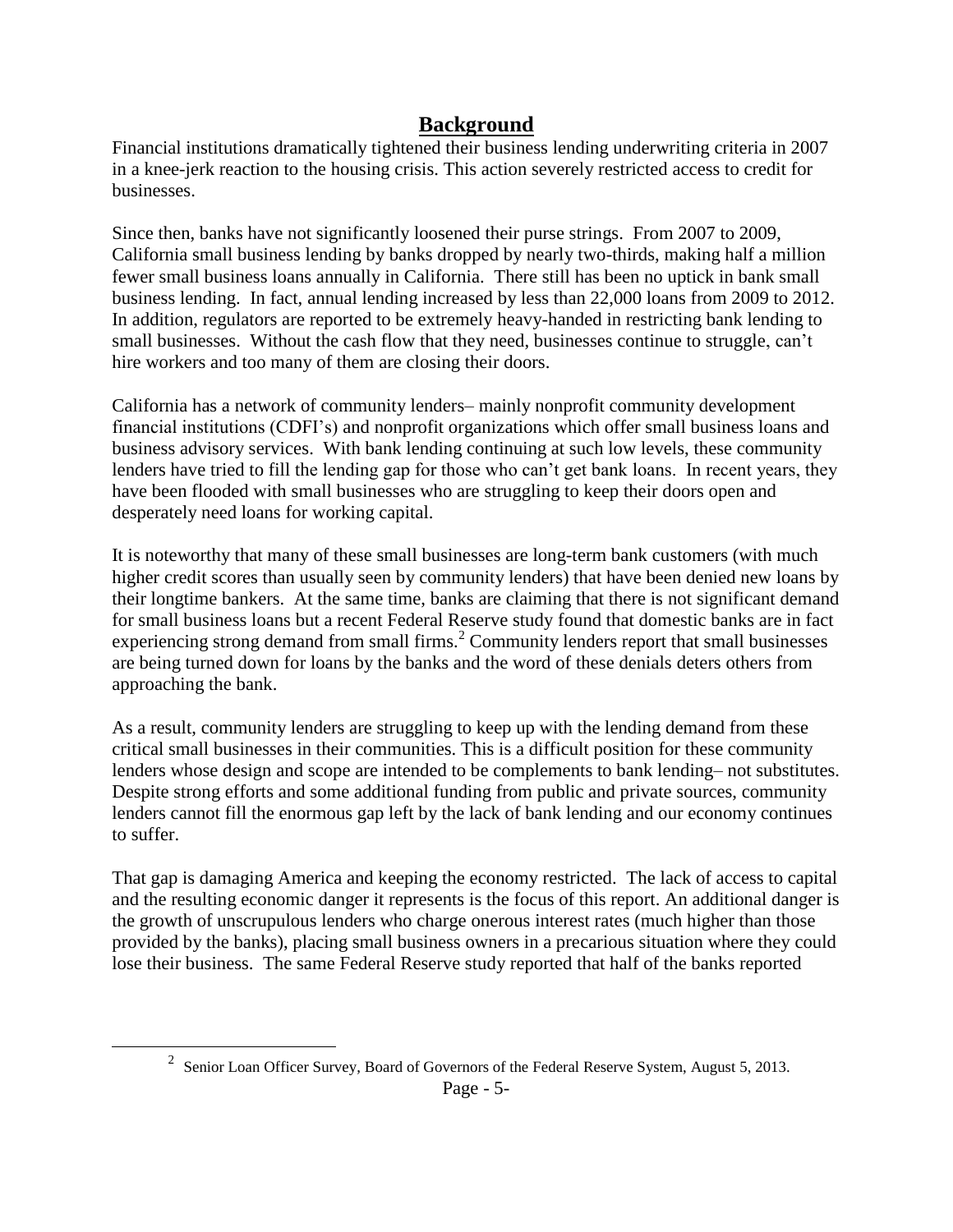### **Background**

Financial institutions dramatically tightened their business lending underwriting criteria in 2007 in a knee-jerk reaction to the housing crisis. This action severely restricted access to credit for businesses.

Since then, banks have not significantly loosened their purse strings. From 2007 to 2009, California small business lending by banks dropped by nearly two-thirds, making half a million fewer small business loans annually in California. There still has been no uptick in bank small business lending. In fact, annual lending increased by less than 22,000 loans from 2009 to 2012. In addition, regulators are reported to be extremely heavy-handed in restricting bank lending to small businesses. Without the cash flow that they need, businesses continue to struggle, can't hire workers and too many of them are closing their doors.

California has a network of community lenders– mainly nonprofit community development financial institutions (CDFI's) and nonprofit organizations which offer small business loans and business advisory services. With bank lending continuing at such low levels, these community lenders have tried to fill the lending gap for those who can't get bank loans. In recent years, they have been flooded with small businesses who are struggling to keep their doors open and desperately need loans for working capital.

It is noteworthy that many of these small businesses are long-term bank customers (with much higher credit scores than usually seen by community lenders) that have been denied new loans by their longtime bankers. At the same time, banks are claiming that there is not significant demand for small business loans but a recent Federal Reserve study found that domestic banks are in fact experiencing strong demand from small firms.<sup>2</sup> Community lenders report that small businesses are being turned down for loans by the banks and the word of these denials deters others from approaching the bank.

As a result, community lenders are struggling to keep up with the lending demand from these critical small businesses in their communities. This is a difficult position for these community lenders whose design and scope are intended to be complements to bank lending– not substitutes. Despite strong efforts and some additional funding from public and private sources, community lenders cannot fill the enormous gap left by the lack of bank lending and our economy continues to suffer.

That gap is damaging America and keeping the economy restricted. The lack of access to capital and the resulting economic danger it represents is the focus of this report. An additional danger is the growth of unscrupulous lenders who charge onerous interest rates (much higher than those provided by the banks), placing small business owners in a precarious situation where they could lose their business. The same Federal Reserve study reported that half of the banks reported

<sup>&</sup>lt;sup>2</sup> Senior Loan Officer Survey, Board of Governors of the Federal Reserve System, August 5, 2013.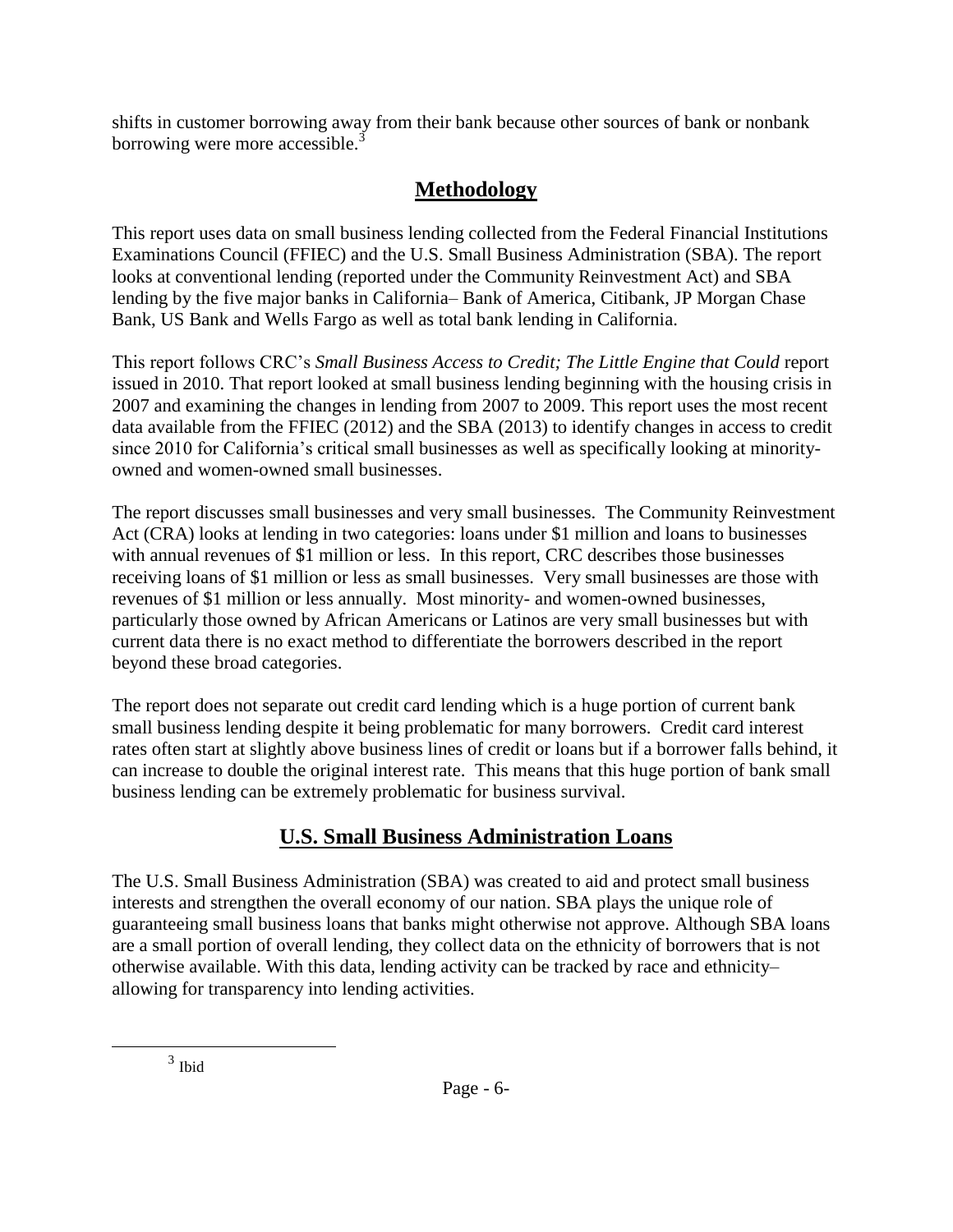shifts in customer borrowing away from their bank because other sources of bank or nonbank borrowing were more accessible.<sup>3</sup>

# **Methodology**

This report uses data on small business lending collected from the Federal Financial Institutions Examinations Council (FFIEC) and the U.S. Small Business Administration (SBA). The report looks at conventional lending (reported under the Community Reinvestment Act) and SBA lending by the five major banks in California– Bank of America, Citibank, JP Morgan Chase Bank, US Bank and Wells Fargo as well as total bank lending in California.

This report follows CRC's *Small Business Access to Credit; The Little Engine that Could* report issued in 2010. That report looked at small business lending beginning with the housing crisis in 2007 and examining the changes in lending from 2007 to 2009. This report uses the most recent data available from the FFIEC (2012) and the SBA (2013) to identify changes in access to credit since 2010 for California's critical small businesses as well as specifically looking at minorityowned and women-owned small businesses.

The report discusses small businesses and very small businesses. The Community Reinvestment Act (CRA) looks at lending in two categories: loans under \$1 million and loans to businesses with annual revenues of \$1 million or less. In this report, CRC describes those businesses receiving loans of \$1 million or less as small businesses. Very small businesses are those with revenues of \$1 million or less annually. Most minority- and women-owned businesses, particularly those owned by African Americans or Latinos are very small businesses but with current data there is no exact method to differentiate the borrowers described in the report beyond these broad categories.

The report does not separate out credit card lending which is a huge portion of current bank small business lending despite it being problematic for many borrowers. Credit card interest rates often start at slightly above business lines of credit or loans but if a borrower falls behind, it can increase to double the original interest rate. This means that this huge portion of bank small business lending can be extremely problematic for business survival.

# **U.S. Small Business Administration Loans**

The U.S. Small Business Administration (SBA) was created to aid and protect small business interests and strengthen the overall economy of our nation. SBA plays the unique role of guaranteeing small business loans that banks might otherwise not approve. Although SBA loans are a small portion of overall lending, they collect data on the ethnicity of borrowers that is not otherwise available. With this data, lending activity can be tracked by race and ethnicity– allowing for transparency into lending activities.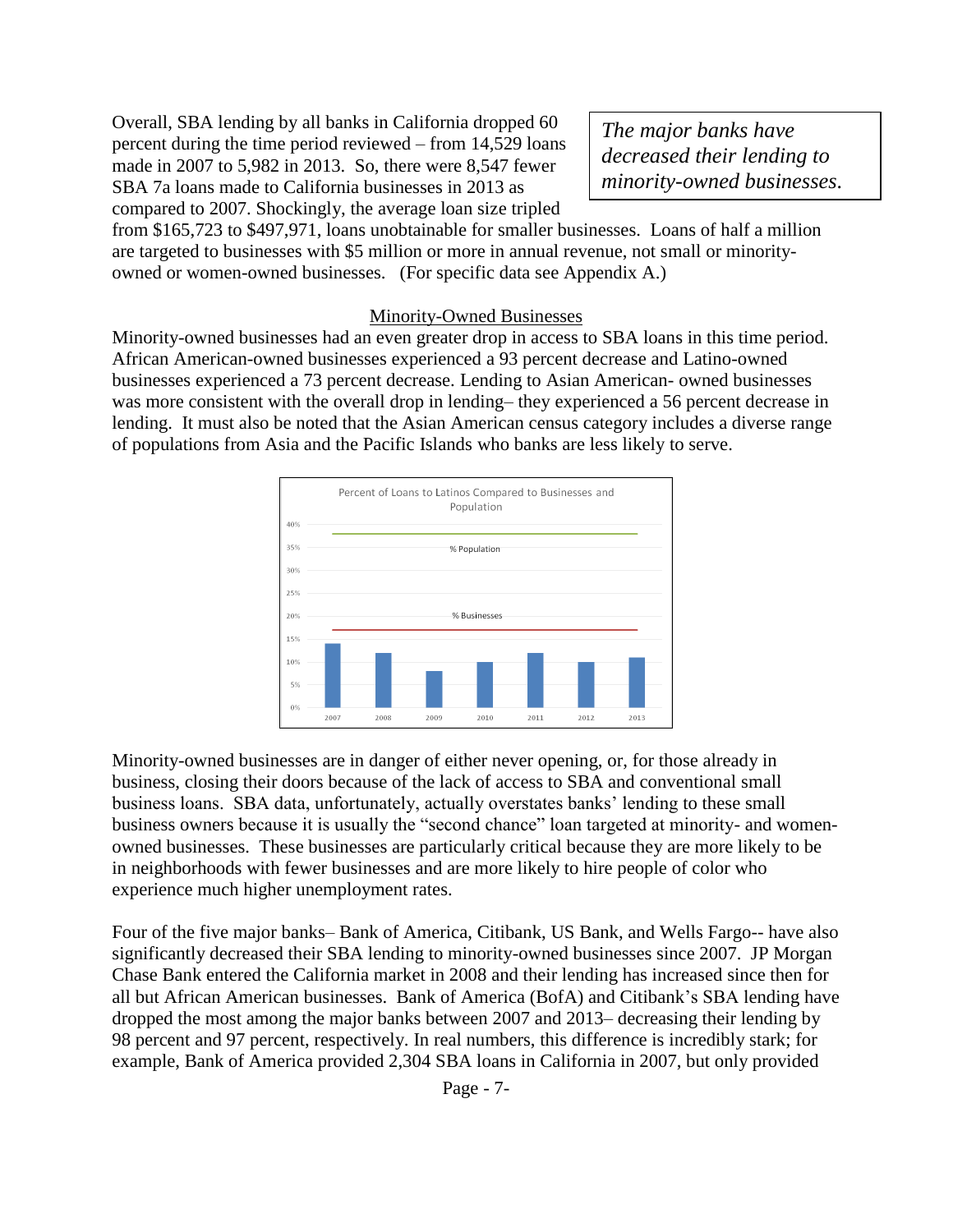Overall, SBA lending by all banks in California dropped 60 percent during the time period reviewed – from 14,529 loans made in 2007 to 5,982 in 2013. So, there were 8,547 fewer SBA 7a loans made to California businesses in 2013 as compared to 2007. Shockingly, the average loan size tripled

*The major banks have decreased their lending to minority-owned businesses.*

from \$165,723 to \$497,971, loans unobtainable for smaller businesses. Loans of half a million are targeted to businesses with \$5 million or more in annual revenue, not small or minorityowned or women-owned businesses. (For specific data see Appendix A.)

#### Minority-Owned Businesses

Minority-owned businesses had an even greater drop in access to SBA loans in this time period. African American-owned businesses experienced a 93 percent decrease and Latino-owned businesses experienced a 73 percent decrease. Lending to Asian American- owned businesses was more consistent with the overall drop in lending– they experienced a 56 percent decrease in lending. It must also be noted that the Asian American census category includes a diverse range of populations from Asia and the Pacific Islands who banks are less likely to serve.



Minority-owned businesses are in danger of either never opening, or, for those already in business, closing their doors because of the lack of access to SBA and conventional small business loans. SBA data, unfortunately, actually overstates banks' lending to these small business owners because it is usually the "second chance" loan targeted at minority- and womenowned businesses. These businesses are particularly critical because they are more likely to be in neighborhoods with fewer businesses and are more likely to hire people of color who experience much higher unemployment rates.

Four of the five major banks– Bank of America, Citibank, US Bank, and Wells Fargo-- have also significantly decreased their SBA lending to minority-owned businesses since 2007. JP Morgan Chase Bank entered the California market in 2008 and their lending has increased since then for all but African American businesses. Bank of America (BofA) and Citibank's SBA lending have dropped the most among the major banks between 2007 and 2013– decreasing their lending by 98 percent and 97 percent, respectively. In real numbers, this difference is incredibly stark; for example, Bank of America provided 2,304 SBA loans in California in 2007, but only provided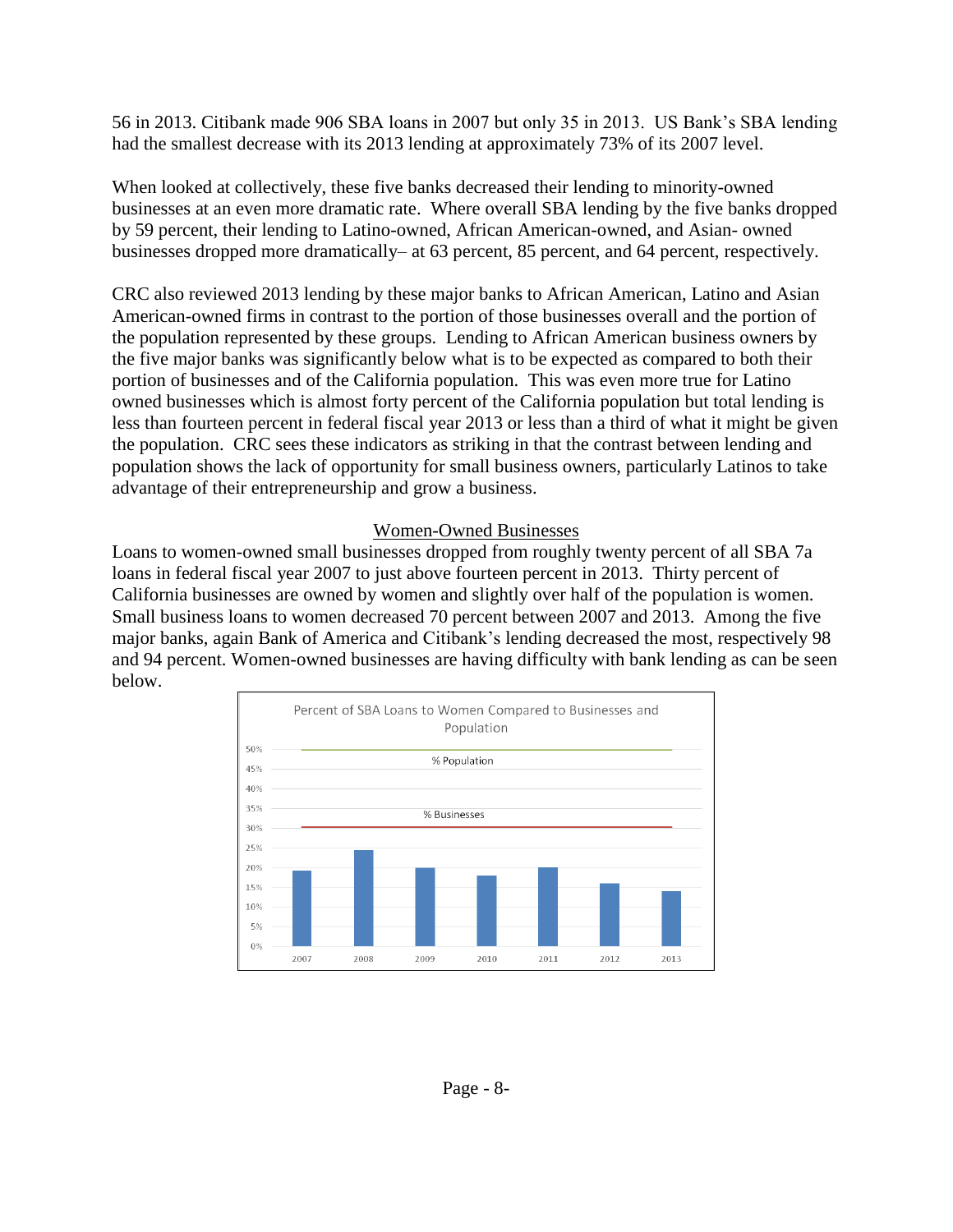56 in 2013. Citibank made 906 SBA loans in 2007 but only 35 in 2013. US Bank's SBA lending had the smallest decrease with its 2013 lending at approximately 73% of its 2007 level.

When looked at collectively, these five banks decreased their lending to minority-owned businesses at an even more dramatic rate. Where overall SBA lending by the five banks dropped by 59 percent, their lending to Latino-owned, African American-owned, and Asian- owned businesses dropped more dramatically– at 63 percent, 85 percent, and 64 percent, respectively.

CRC also reviewed 2013 lending by these major banks to African American, Latino and Asian American-owned firms in contrast to the portion of those businesses overall and the portion of the population represented by these groups. Lending to African American business owners by the five major banks was significantly below what is to be expected as compared to both their portion of businesses and of the California population. This was even more true for Latino owned businesses which is almost forty percent of the California population but total lending is less than fourteen percent in federal fiscal year 2013 or less than a third of what it might be given the population. CRC sees these indicators as striking in that the contrast between lending and population shows the lack of opportunity for small business owners, particularly Latinos to take advantage of their entrepreneurship and grow a business.

#### Women-Owned Businesses

Loans to women-owned small businesses dropped from roughly twenty percent of all SBA 7a loans in federal fiscal year 2007 to just above fourteen percent in 2013. Thirty percent of California businesses are owned by women and slightly over half of the population is women. Small business loans to women decreased 70 percent between 2007 and 2013. Among the five major banks, again Bank of America and Citibank's lending decreased the most, respectively 98 and 94 percent. Women-owned businesses are having difficulty with bank lending as can be seen below.

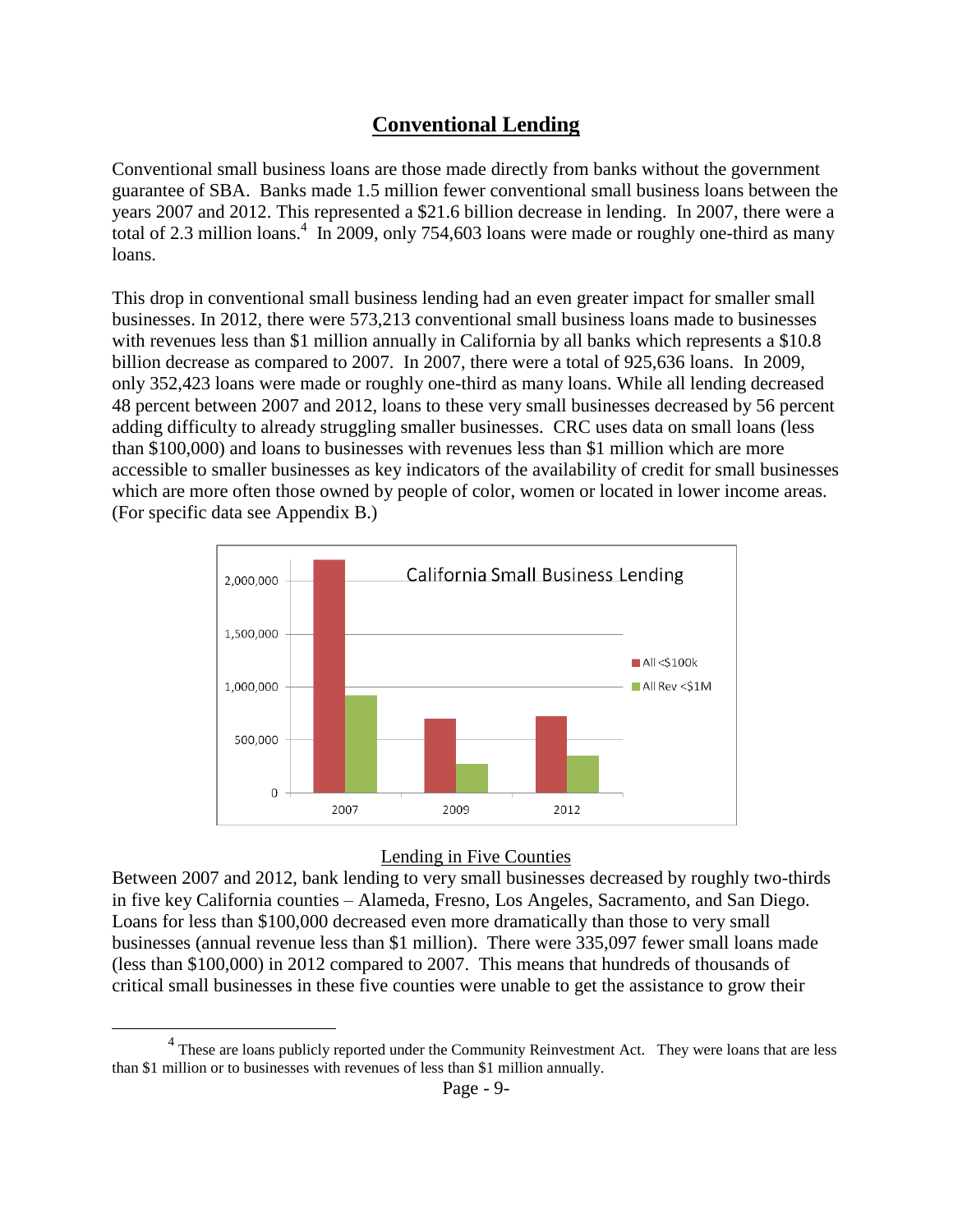### **Conventional Lending**

Conventional small business loans are those made directly from banks without the government guarantee of SBA. Banks made 1.5 million fewer conventional small business loans between the years 2007 and 2012. This represented a \$21.6 billion decrease in lending. In 2007, there were a total of 2.3 million loans.<sup>4</sup> In 2009, only 754,603 loans were made or roughly one-third as many loans.

This drop in conventional small business lending had an even greater impact for smaller small businesses. In 2012, there were 573,213 conventional small business loans made to businesses with revenues less than \$1 million annually in California by all banks which represents a \$10.8 billion decrease as compared to 2007. In 2007, there were a total of 925,636 loans. In 2009, only 352,423 loans were made or roughly one-third as many loans. While all lending decreased 48 percent between 2007 and 2012, loans to these very small businesses decreased by 56 percent adding difficulty to already struggling smaller businesses. CRC uses data on small loans (less than \$100,000) and loans to businesses with revenues less than \$1 million which are more accessible to smaller businesses as key indicators of the availability of credit for small businesses which are more often those owned by people of color, women or located in lower income areas. (For specific data see Appendix B.)



#### Lending in Five Counties

Between 2007 and 2012, bank lending to very small businesses decreased by roughly two-thirds in five key California counties – Alameda, Fresno, Los Angeles, Sacramento, and San Diego. Loans for less than \$100,000 decreased even more dramatically than those to very small businesses (annual revenue less than \$1 million). There were 335,097 fewer small loans made (less than \$100,000) in 2012 compared to 2007. This means that hundreds of thousands of critical small businesses in these five counties were unable to get the assistance to grow their

 $4$  These are loans publicly reported under the Community Reinvestment Act. They were loans that are less than \$1 million or to businesses with revenues of less than \$1 million annually.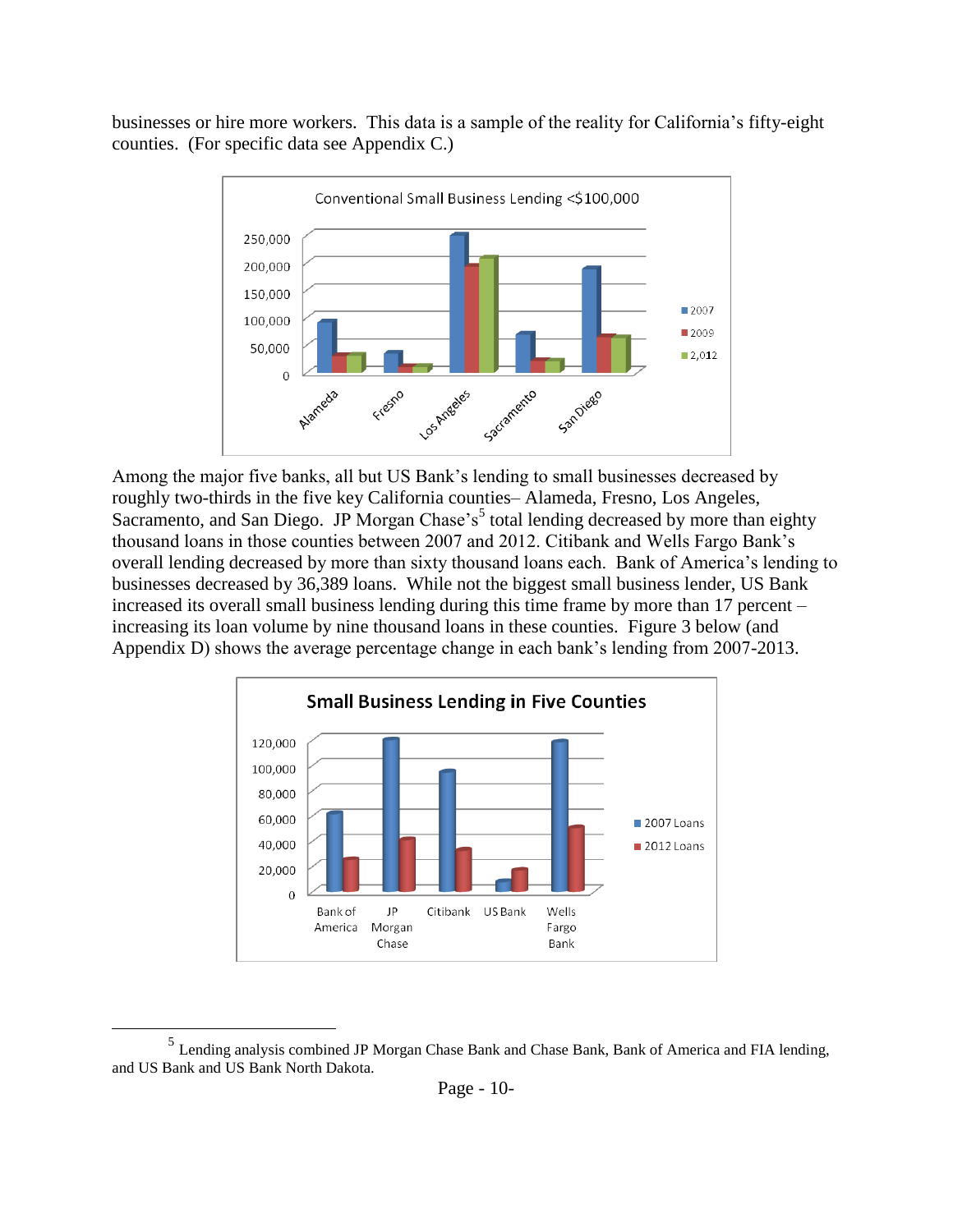businesses or hire more workers. This data is a sample of the reality for California's fifty-eight counties. (For specific data see Appendix C.)



Among the major five banks, all but US Bank's lending to small businesses decreased by roughly two-thirds in the five key California counties– Alameda, Fresno, Los Angeles, Sacramento, and San Diego. JP Morgan Chase's<sup>5</sup> total lending decreased by more than eighty thousand loans in those counties between 2007 and 2012. Citibank and Wells Fargo Bank's overall lending decreased by more than sixty thousand loans each. Bank of America's lending to businesses decreased by 36,389 loans. While not the biggest small business lender, US Bank increased its overall small business lending during this time frame by more than 17 percent – increasing its loan volume by nine thousand loans in these counties. Figure 3 below (and Appendix D) shows the average percentage change in each bank's lending from 2007-2013.



<sup>&</sup>lt;sup>5</sup> Lending analysis combined JP Morgan Chase Bank and Chase Bank, Bank of America and FIA lending, and US Bank and US Bank North Dakota.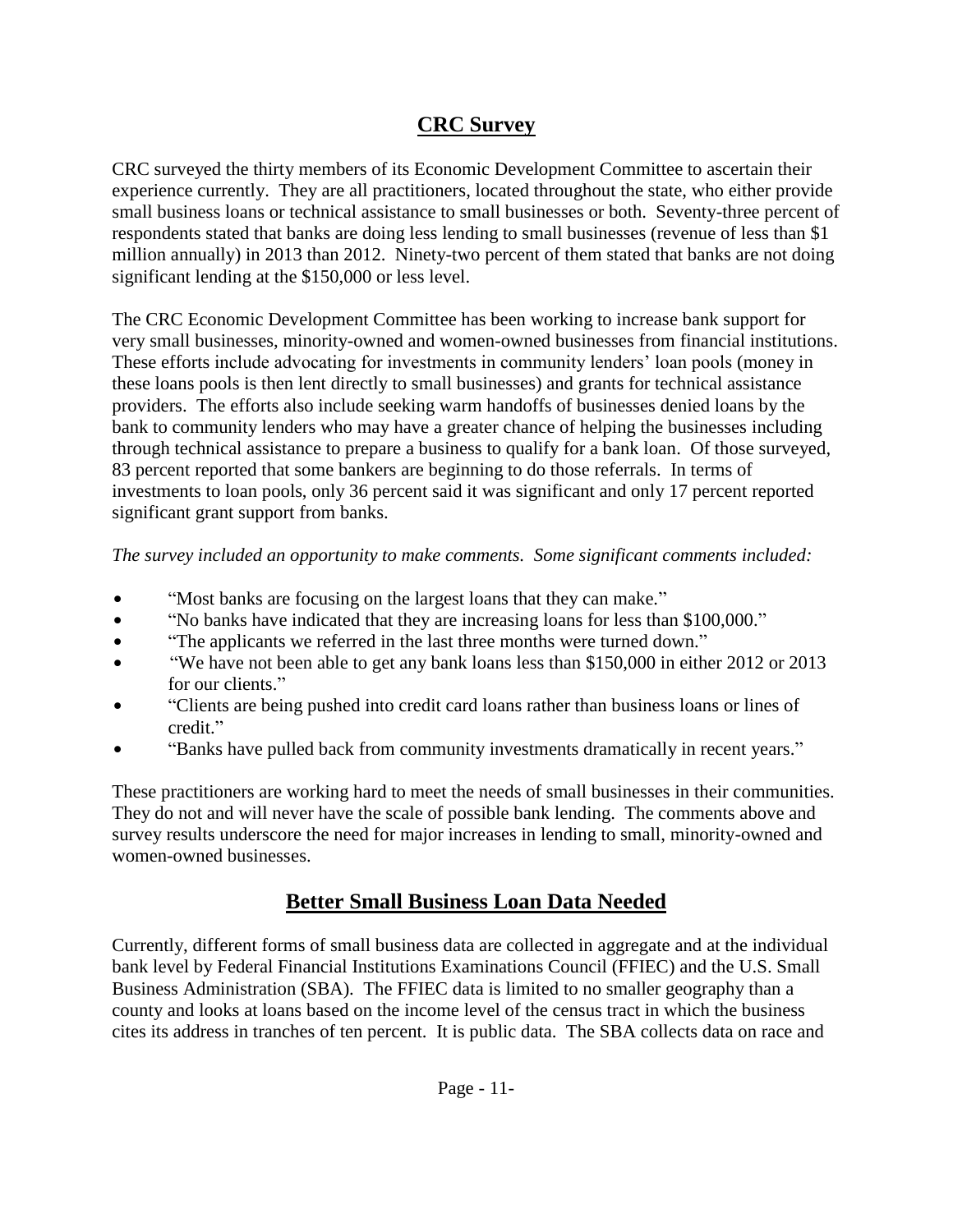## **CRC Survey**

CRC surveyed the thirty members of its Economic Development Committee to ascertain their experience currently. They are all practitioners, located throughout the state, who either provide small business loans or technical assistance to small businesses or both. Seventy-three percent of respondents stated that banks are doing less lending to small businesses (revenue of less than \$1 million annually) in 2013 than 2012. Ninety-two percent of them stated that banks are not doing significant lending at the \$150,000 or less level.

The CRC Economic Development Committee has been working to increase bank support for very small businesses, minority-owned and women-owned businesses from financial institutions. These efforts include advocating for investments in community lenders' loan pools (money in these loans pools is then lent directly to small businesses) and grants for technical assistance providers. The efforts also include seeking warm handoffs of businesses denied loans by the bank to community lenders who may have a greater chance of helping the businesses including through technical assistance to prepare a business to qualify for a bank loan. Of those surveyed, 83 percent reported that some bankers are beginning to do those referrals. In terms of investments to loan pools, only 36 percent said it was significant and only 17 percent reported significant grant support from banks.

#### *The survey included an opportunity to make comments. Some significant comments included:*

- "Most banks are focusing on the largest loans that they can make."
- "No banks have indicated that they are increasing loans for less than \$100,000."
- "The applicants we referred in the last three months were turned down."
- "We have not been able to get any bank loans less than \$150,000 in either 2012 or 2013 for our clients."
- "Clients are being pushed into credit card loans rather than business loans or lines of credit."
- "Banks have pulled back from community investments dramatically in recent years."

These practitioners are working hard to meet the needs of small businesses in their communities. They do not and will never have the scale of possible bank lending. The comments above and survey results underscore the need for major increases in lending to small, minority-owned and women-owned businesses.

# **Better Small Business Loan Data Needed**

Currently, different forms of small business data are collected in aggregate and at the individual bank level by Federal Financial Institutions Examinations Council (FFIEC) and the U.S. Small Business Administration (SBA). The FFIEC data is limited to no smaller geography than a county and looks at loans based on the income level of the census tract in which the business cites its address in tranches of ten percent. It is public data. The SBA collects data on race and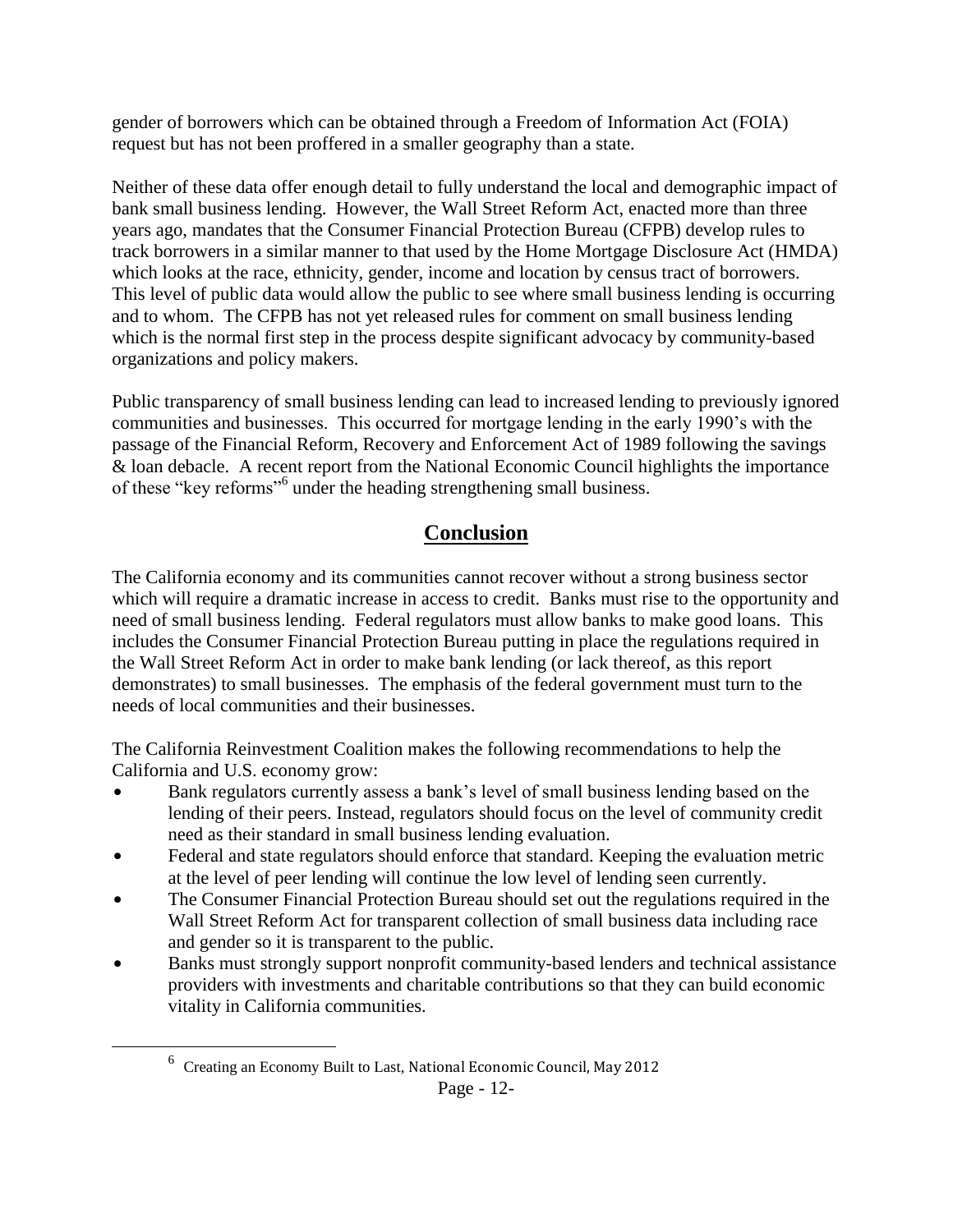gender of borrowers which can be obtained through a Freedom of Information Act (FOIA) request but has not been proffered in a smaller geography than a state.

Neither of these data offer enough detail to fully understand the local and demographic impact of bank small business lending. However, the Wall Street Reform Act, enacted more than three years ago, mandates that the Consumer Financial Protection Bureau (CFPB) develop rules to track borrowers in a similar manner to that used by the Home Mortgage Disclosure Act (HMDA) which looks at the race, ethnicity, gender, income and location by census tract of borrowers. This level of public data would allow the public to see where small business lending is occurring and to whom. The CFPB has not yet released rules for comment on small business lending which is the normal first step in the process despite significant advocacy by community-based organizations and policy makers.

Public transparency of small business lending can lead to increased lending to previously ignored communities and businesses. This occurred for mortgage lending in the early 1990's with the passage of the Financial Reform, Recovery and Enforcement Act of 1989 following the savings & loan debacle. A recent report from the National Economic Council highlights the importance of these "key reforms"<sup>6</sup> under the heading strengthening small business.

# **Conclusion**

The California economy and its communities cannot recover without a strong business sector which will require a dramatic increase in access to credit. Banks must rise to the opportunity and need of small business lending. Federal regulators must allow banks to make good loans. This includes the Consumer Financial Protection Bureau putting in place the regulations required in the Wall Street Reform Act in order to make bank lending (or lack thereof, as this report demonstrates) to small businesses. The emphasis of the federal government must turn to the needs of local communities and their businesses.

The California Reinvestment Coalition makes the following recommendations to help the California and U.S. economy grow:

- Bank regulators currently assess a bank's level of small business lending based on the lending of their peers. Instead, regulators should focus on the level of community credit need as their standard in small business lending evaluation.
- Federal and state regulators should enforce that standard. Keeping the evaluation metric at the level of peer lending will continue the low level of lending seen currently.
- The Consumer Financial Protection Bureau should set out the regulations required in the Wall Street Reform Act for transparent collection of small business data including race and gender so it is transparent to the public.
- Banks must strongly support nonprofit community-based lenders and technical assistance providers with investments and charitable contributions so that they can build economic vitality in California communities.

<sup>6</sup> Creating an Economy Built to Last, National Economic Council, May 2012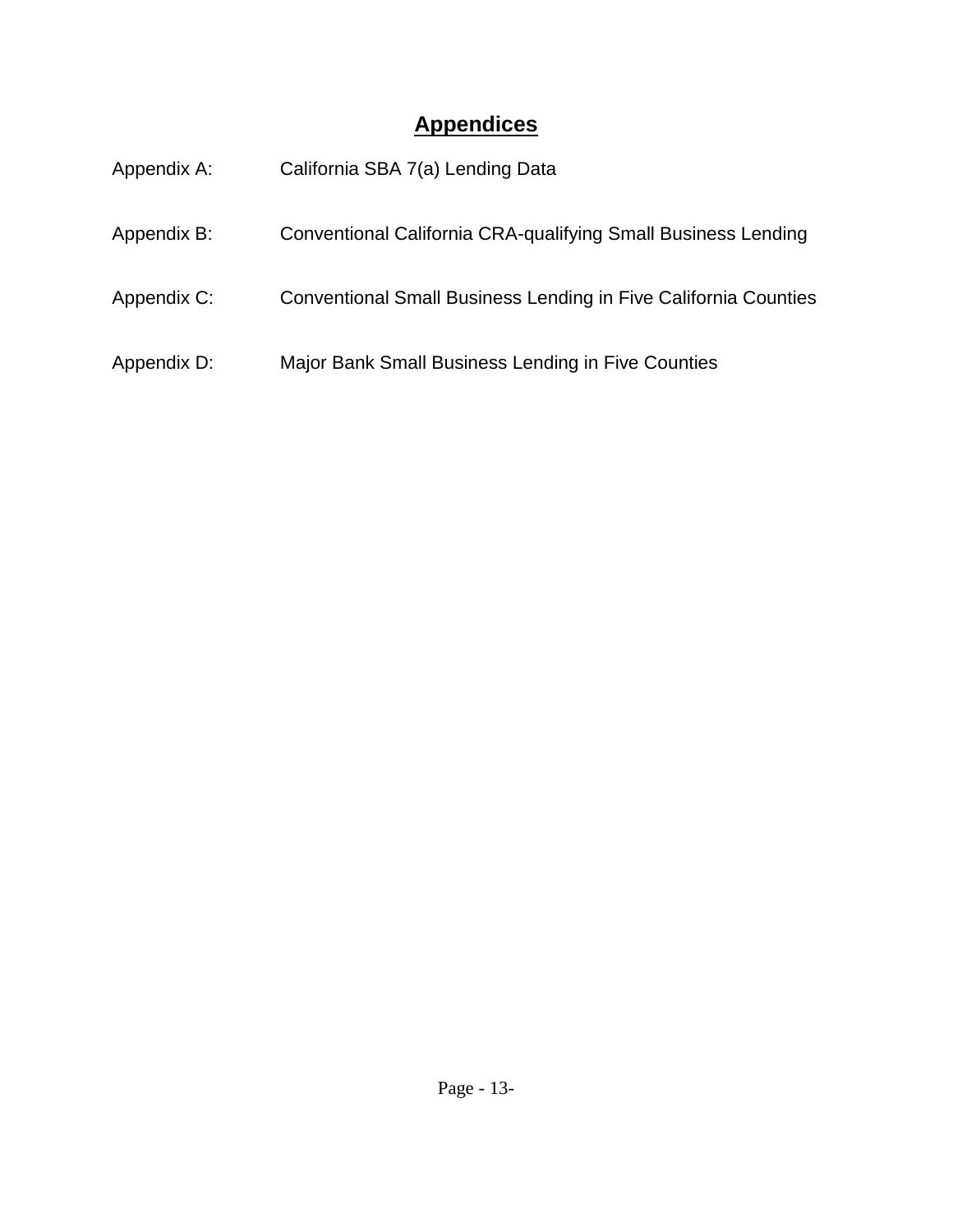# **Appendices**

| Appendix A: | California SBA 7(a) Lending Data                                       |
|-------------|------------------------------------------------------------------------|
| Appendix B: | <b>Conventional California CRA-qualifying Small Business Lending</b>   |
| Appendix C: | <b>Conventional Small Business Lending in Five California Counties</b> |
| Appendix D: | Major Bank Small Business Lending in Five Counties                     |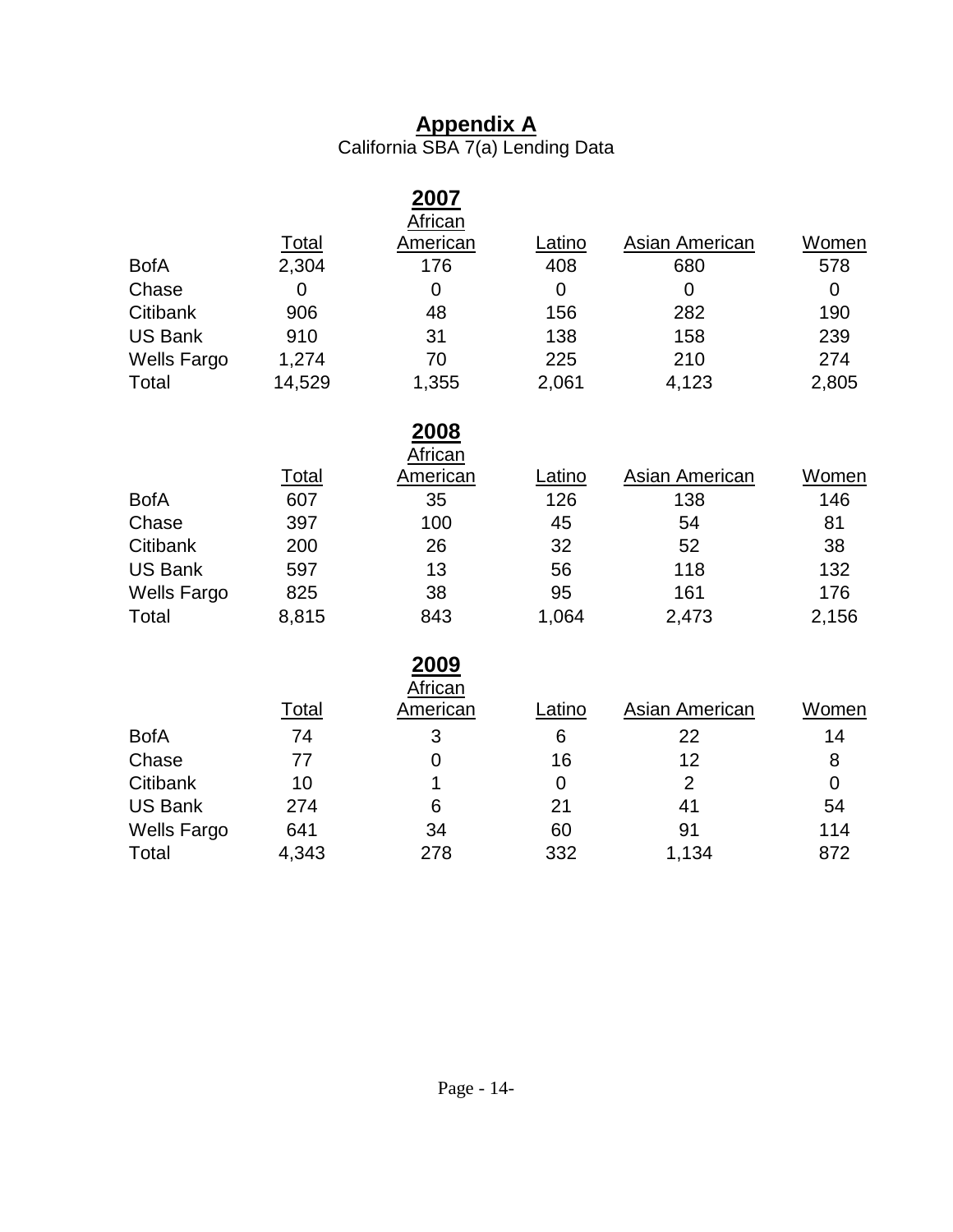# **Appendix A**

California SBA 7(a) Lending Data

|                    |              | 2007<br>African                 |                |                       |              |
|--------------------|--------------|---------------------------------|----------------|-----------------------|--------------|
|                    | <b>Total</b> | <b>American</b>                 | Latino         | <b>Asian American</b> | <b>Women</b> |
| <b>BofA</b>        | 2,304        | 176                             | 408            | 680                   | 578          |
| Chase              | 0            | $\overline{0}$                  | $\mathbf 0$    | $\mathbf 0$           | $\mathbf 0$  |
| Citibank           | 906          | 48                              | 156            | 282                   | 190          |
| <b>US Bank</b>     | 910          | 31                              | 138            | 158                   | 239          |
| <b>Wells Fargo</b> | 1,274        | 70                              | 225            | 210                   | 274          |
| Total              | 14,529       | 1,355                           | 2,061          | 4,123                 | 2,805        |
|                    |              | <u>2008</u>                     |                |                       |              |
|                    |              | <b>African</b>                  |                |                       |              |
|                    | <b>Total</b> | <b>American</b>                 | Latino         | <b>Asian American</b> | Women        |
| <b>BofA</b>        | 607          | 35                              | 126            | 138                   | 146          |
| Chase              | 397          | 100                             | 45             | 54                    | 81           |
| Citibank           | 200          | 26                              | 32             | 52                    | 38           |
| <b>US Bank</b>     | 597          | 13                              | 56             | 118                   | 132          |
| <b>Wells Fargo</b> | 825          | 38                              | 95             | 161                   | 176          |
| Total              | 8,815        | 843                             | 1,064          | 2,473                 | 2,156        |
|                    |              | <u> 2009 </u><br><b>African</b> |                |                       |              |
|                    | <u>Total</u> | <b>American</b>                 | Latino         | <b>Asian American</b> | Women        |
| <b>BofA</b>        | 74           | 3                               | 6              | 22                    | 14           |
| Chase              | 77           | 0                               | 16             | 12                    | 8            |
| Citibank           | 10           | 1                               | $\overline{0}$ | $\overline{2}$        | $\mathbf 0$  |
| <b>US Bank</b>     | 274          | 6                               | 21             | 41                    | 54           |
| <b>Wells Fargo</b> | 641          | 34                              | 60             | 91                    | 114          |
| Total              | 4,343        | 278                             | 332            | 1,134                 | 872          |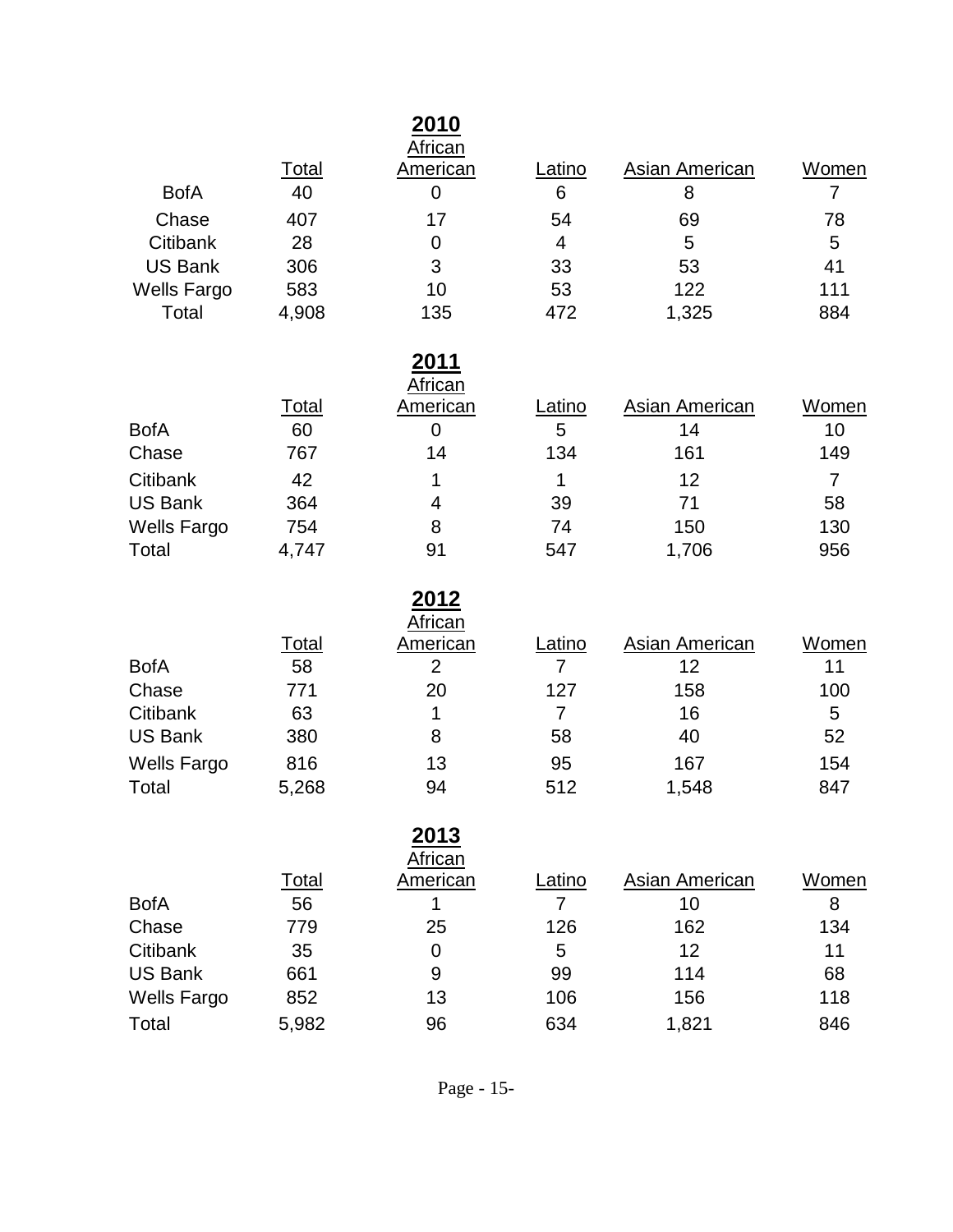|              | 2010     |         |                |       |
|--------------|----------|---------|----------------|-------|
| <b>Total</b> | American | Latino  | Asian American | Women |
| 40           | 0        | 6       | 8              |       |
| 407          | 17       | 54      | 69             | 78    |
| 28           | O        | 4       | 5              | 5     |
| 306          | 3        | 33      | 53             | 41    |
| 583          | 10       | 53      | 122            | 111   |
| 4,908        | 135      | 472     | 1,325          | 884   |
|              |          | African |                |       |

## **2011**

|                    |       | African  |        |                |       |
|--------------------|-------|----------|--------|----------------|-------|
|                    | Total | American | Latino | Asian American | Women |
| <b>BofA</b>        | 60    |          | 5      | 14             | 10    |
| Chase              | 767   | 14       | 134    | 161            | 149   |
| Citibank           | 42    |          |        | 12             |       |
| <b>US Bank</b>     | 364   | 4        | 39     | 71             | 58    |
| <b>Wells Fargo</b> | 754   | 8        | 74     | 150            | 130   |
| Total              | 4,747 | 91       | 547    | 1,706          | 956   |

|                    |       | 2012                |        |                |       |
|--------------------|-------|---------------------|--------|----------------|-------|
|                    | Total | African<br>American | Latino | Asian American | Women |
| <b>BofA</b>        | 58    | 2                   | 7      | 12             | 11    |
| Chase              | 771   | 20                  | 127    | 158            | 100   |
| Citibank           | 63    |                     |        | 16             | 5     |
| US Bank            | 380   | 8                   | 58     | 40             | 52    |
| <b>Wells Fargo</b> | 816   | 13                  | 95     | 167            | 154   |
| Total              | 5,268 | 94                  | 512    | 1,548          | 847   |

### **2013** African

|                    |              | , ,,,,,,,,, |        |                |       |
|--------------------|--------------|-------------|--------|----------------|-------|
|                    | <u>Total</u> | American    | Latino | Asian American | Women |
| <b>BofA</b>        | 56           |             |        | 10             | 8     |
| Chase              | 779          | 25          | 126    | 162            | 134   |
| Citibank           | 35           |             | 5      | 12             | 11    |
| <b>US Bank</b>     | 661          | 9           | 99     | 114            | 68    |
| <b>Wells Fargo</b> | 852          | 13          | 106    | 156            | 118   |
| Total              | 5,982        | 96          | 634    | 1,821          | 846   |
|                    |              |             |        |                |       |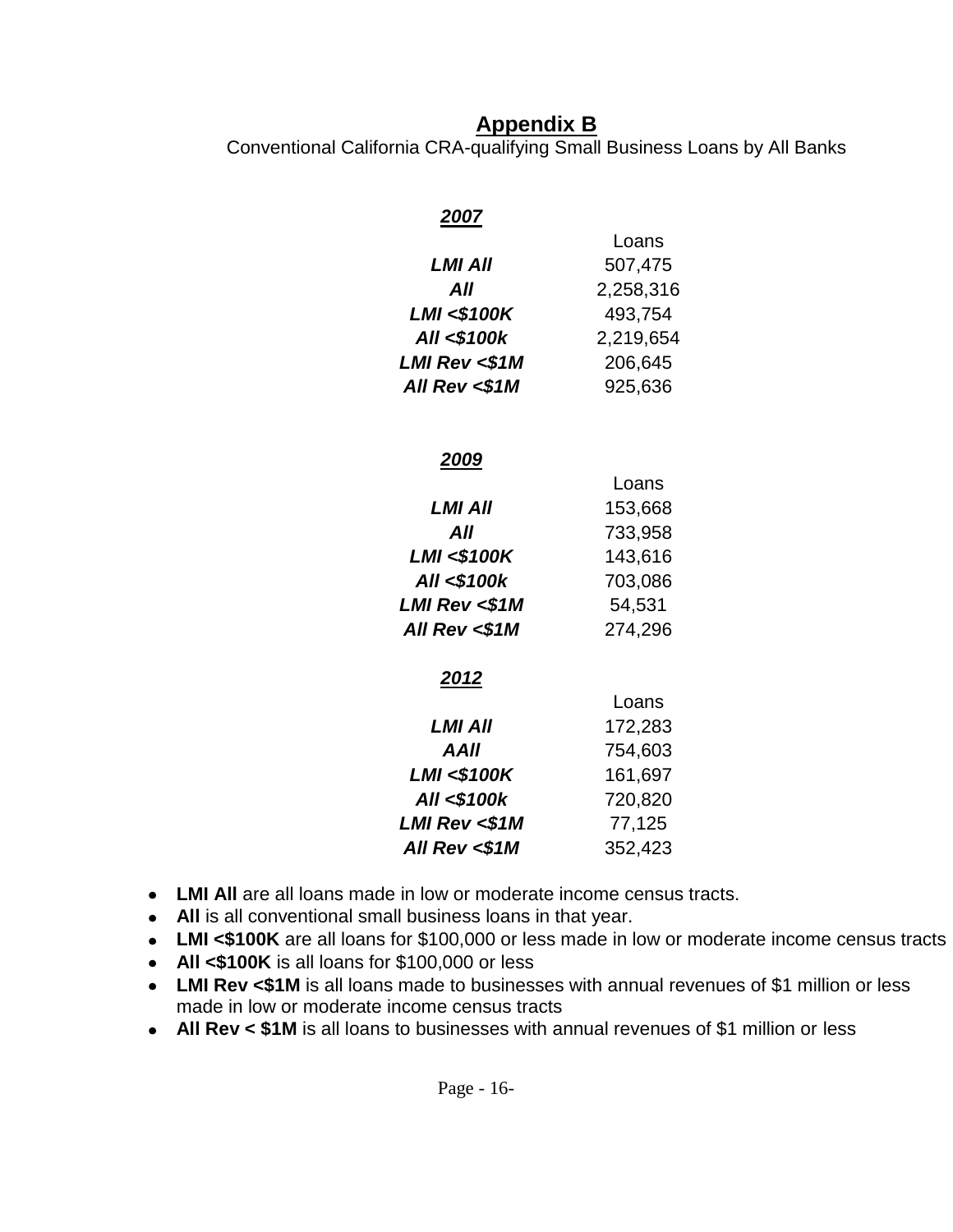### **Appendix B**

Conventional California CRA-qualifying Small Business Loans by All Banks

# *2007*

|                         | Loans     |
|-------------------------|-----------|
| LMI AII                 | 507,475   |
| All                     | 2,258,316 |
| <b>LMI &lt;\$100K</b>   | 493,754   |
| <b>All &lt;\$100k</b>   | 2,219,654 |
| <b>LMI Rev &lt;\$1M</b> | 206,645   |
| All Rev <\$1M           | 925,636   |

#### *2009*

|                         | Loans   |
|-------------------------|---------|
| LMI AII                 | 153,668 |
| All                     | 733,958 |
| <b>LMI &lt;\$100K</b>   | 143,616 |
| All <\$100k             | 703,086 |
| <b>LMI Rev &lt;\$1M</b> | 54,531  |
| All Rev <\$1M           | 274,296 |
| 2012                    |         |
|                         | Loans   |
| LMI All                 | 172,283 |
| AAII                    | 754,603 |
| <b>LMI &lt;\$100K</b>   | 161,697 |
| All <\$100k             | 720,820 |
| <b>LMI Rev &lt;\$1M</b> | 77,125  |

- **LMI All** are all loans made in low or moderate income census tracts.
- **All** is all conventional small business loans in that year.
- **LMI <\$100K** are all loans for \$100,000 or less made in low or moderate income census tracts

*All Rev <\$1M* 352,423

- **All <\$100K** is all loans for \$100,000 or less
- LMI Rev <\$1M is all loans made to businesses with annual revenues of \$1 million or less  $\bullet$ made in low or moderate income census tracts
- **All Rev < \$1M** is all loans to businesses with annual revenues of \$1 million or less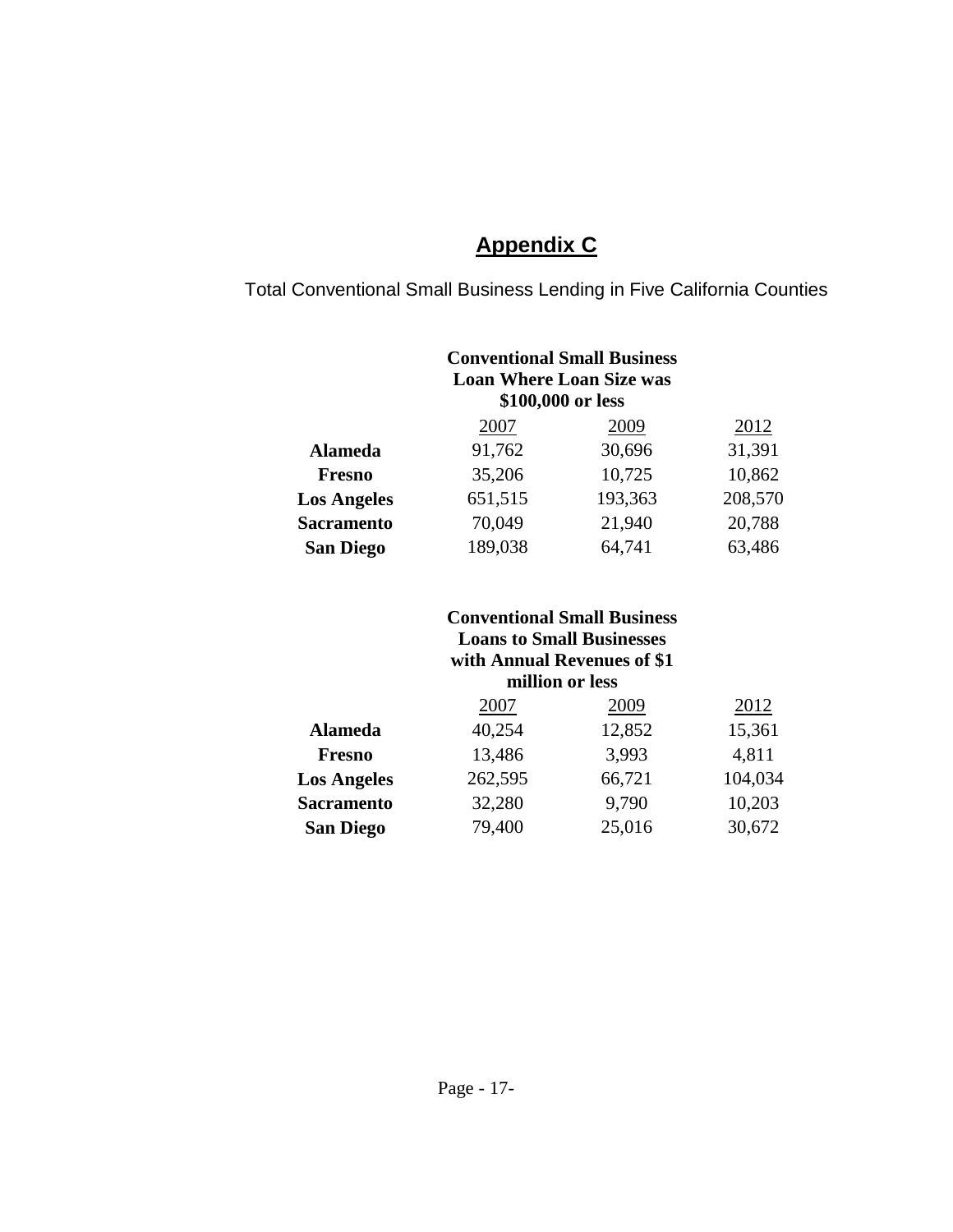# **Appendix C**

Total Conventional Small Business Lending in Five California Counties

|                    | <b>Conventional Small Business</b><br><b>Loan Where Loan Size was</b><br>\$100,000 or less |         |         |  |  |  |  |
|--------------------|--------------------------------------------------------------------------------------------|---------|---------|--|--|--|--|
|                    | 2007                                                                                       | 2009    | 2012    |  |  |  |  |
| <b>Alameda</b>     | 91,762                                                                                     | 30,696  | 31,391  |  |  |  |  |
| <b>Fresno</b>      | 35,206                                                                                     | 10,725  | 10,862  |  |  |  |  |
| <b>Los Angeles</b> | 651,515                                                                                    | 193,363 | 208,570 |  |  |  |  |
| <b>Sacramento</b>  | 70,049                                                                                     | 21,940  | 20,788  |  |  |  |  |
| <b>San Diego</b>   | 189,038                                                                                    | 64,741  | 63,486  |  |  |  |  |

#### **Conventional Small Business Loans to Small Businesses with Annual Revenues of \$1 million or less**

|                    | 2007    | 2009   | 2012    |
|--------------------|---------|--------|---------|
| <b>Alameda</b>     | 40,254  | 12,852 | 15,361  |
| <b>Fresno</b>      | 13,486  | 3,993  | 4,811   |
| <b>Los Angeles</b> | 262,595 | 66,721 | 104,034 |
| <b>Sacramento</b>  | 32,280  | 9,790  | 10,203  |
| <b>San Diego</b>   | 79,400  | 25,016 | 30,672  |
|                    |         |        |         |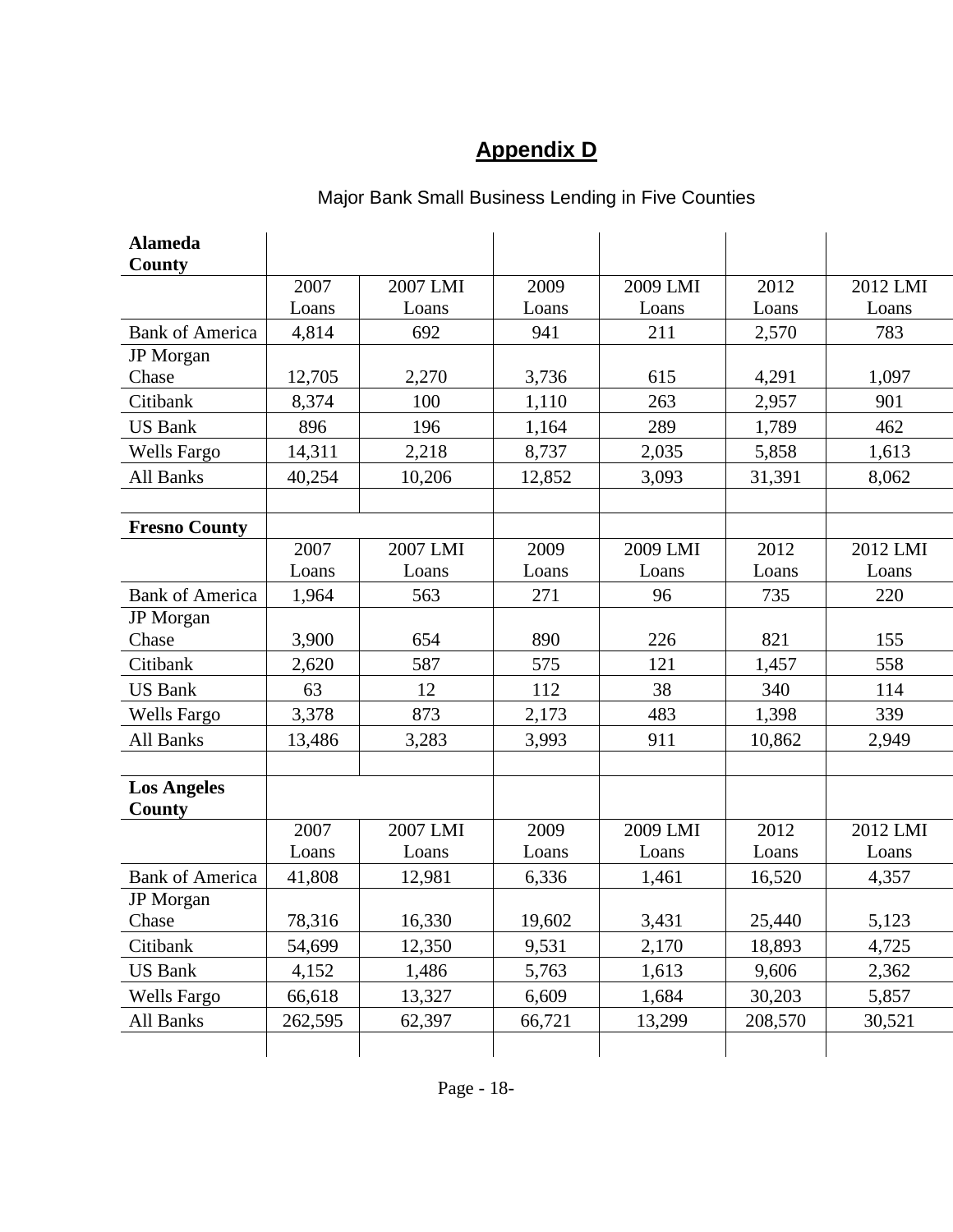# **Appendix D**

| <b>Alameda</b><br>County     |         |          |        |          |         |          |
|------------------------------|---------|----------|--------|----------|---------|----------|
|                              | 2007    | 2007 LMI | 2009   | 2009 LMI | 2012    | 2012 LMI |
|                              | Loans   | Loans    | Loans  | Loans    | Loans   | Loans    |
| <b>Bank of America</b>       | 4,814   | 692      | 941    | 211      | 2,570   | 783      |
| JP Morgan                    |         |          |        |          |         |          |
| Chase                        | 12,705  | 2,270    | 3,736  | 615      | 4,291   | 1,097    |
| Citibank                     | 8,374   | 100      | 1,110  | 263      | 2,957   | 901      |
| <b>US Bank</b>               | 896     | 196      | 1,164  | 289      | 1,789   | 462      |
| <b>Wells Fargo</b>           | 14,311  | 2,218    | 8,737  | 2,035    | 5,858   | 1,613    |
| All Banks                    | 40,254  | 10,206   | 12,852 | 3,093    | 31,391  | 8,062    |
|                              |         |          |        |          |         |          |
| <b>Fresno County</b>         |         |          |        |          |         |          |
|                              | 2007    | 2007 LMI | 2009   | 2009 LMI | 2012    | 2012 LMI |
|                              | Loans   | Loans    | Loans  | Loans    | Loans   | Loans    |
| <b>Bank of America</b>       | 1,964   | 563      | 271    | 96       | 735     | 220      |
| JP Morgan                    |         |          |        |          |         |          |
| Chase                        | 3,900   | 654      | 890    | 226      | 821     | 155      |
| Citibank                     | 2,620   | 587      | 575    | 121      | 1,457   | 558      |
| <b>US Bank</b>               | 63      | 12       | 112    | 38       | 340     | 114      |
| <b>Wells Fargo</b>           | 3,378   | 873      | 2,173  | 483      | 1,398   | 339      |
| All Banks                    | 13,486  | 3,283    | 3,993  | 911      | 10,862  | 2,949    |
|                              |         |          |        |          |         |          |
| <b>Los Angeles</b><br>County |         |          |        |          |         |          |
|                              | 2007    | 2007 LMI | 2009   | 2009 LMI | 2012    | 2012 LMI |
|                              | Loans   | Loans    | Loans  | Loans    | Loans   | Loans    |
| <b>Bank of America</b>       | 41,808  | 12,981   | 6,336  | 1,461    | 16,520  | 4,357    |
| <b>JP</b> Morgan             |         |          |        |          |         |          |
| Chase                        | 78,316  | 16,330   | 19,602 | 3,431    | 25,440  | 5,123    |
| Citibank                     | 54,699  | 12,350   | 9,531  | 2,170    | 18,893  | 4,725    |
| <b>US Bank</b>               | 4,152   | 1,486    | 5,763  | 1,613    | 9,606   | 2,362    |
| <b>Wells Fargo</b>           | 66,618  | 13,327   | 6,609  | 1,684    | 30,203  | 5,857    |
| All Banks                    | 262,595 | 62,397   | 66,721 | 13,299   | 208,570 | 30,521   |
|                              |         |          |        |          |         |          |

### Major Bank Small Business Lending in Five Counties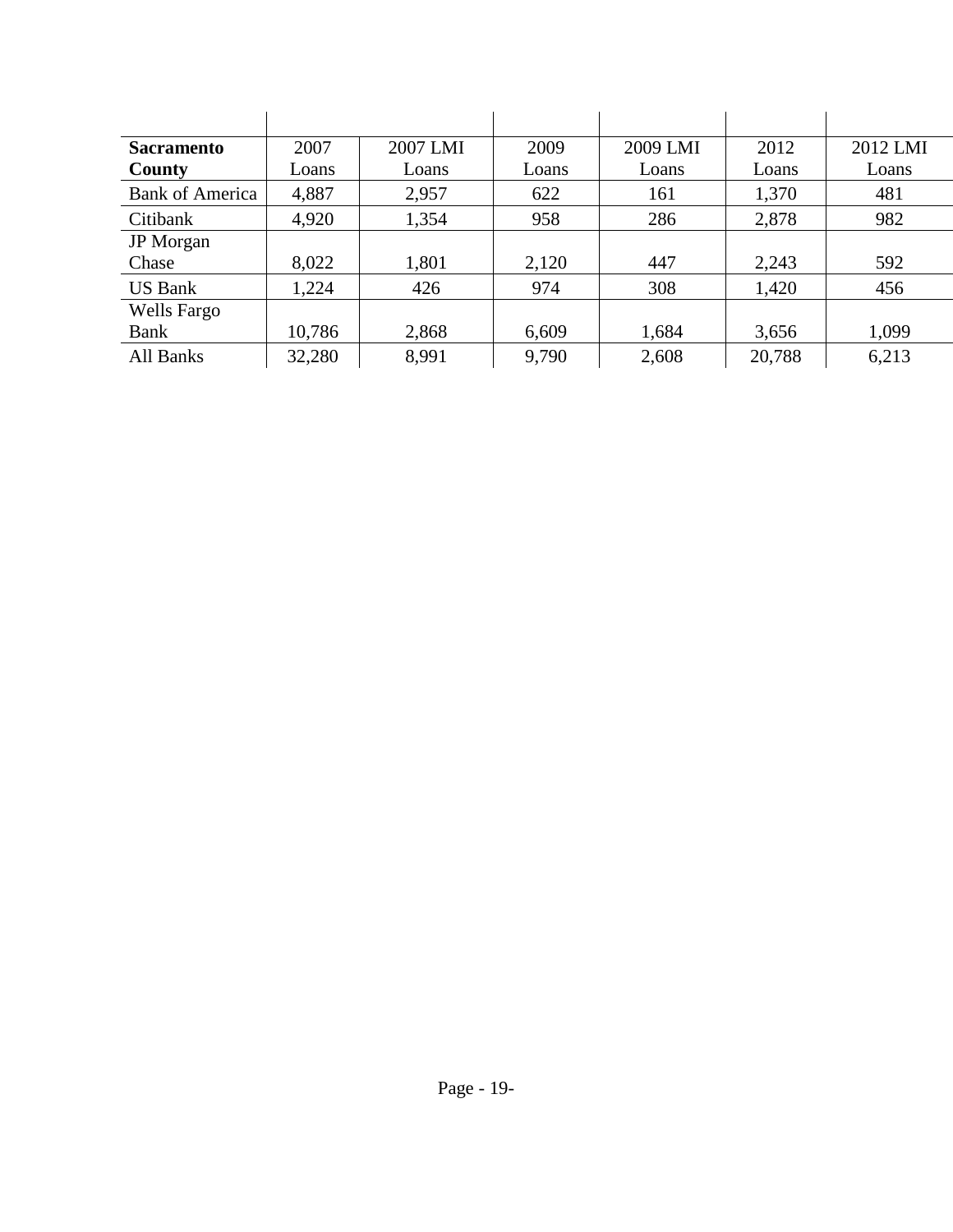| <b>Sacramento</b>      | 2007   | 2007 LMI | 2009  | 2009 LMI | 2012   | 2012 LMI |
|------------------------|--------|----------|-------|----------|--------|----------|
| County                 | Loans  | Loans    | Loans | Loans    | Loans  | Loans    |
| <b>Bank of America</b> | 4,887  | 2,957    | 622   | 161      | 1,370  | 481      |
| Citibank               | 4,920  | 1,354    | 958   | 286      | 2,878  | 982      |
| <b>JP</b> Morgan       |        |          |       |          |        |          |
| Chase                  | 8,022  | 1,801    | 2,120 | 447      | 2,243  | 592      |
| <b>US Bank</b>         | 1,224  | 426      | 974   | 308      | 1,420  | 456      |
| Wells Fargo            |        |          |       |          |        |          |
| Bank                   | 10,786 | 2,868    | 6,609 | 1,684    | 3,656  | 1,099    |
| All Banks              | 32,280 | 8,991    | 9,790 | 2,608    | 20,788 | 6,213    |